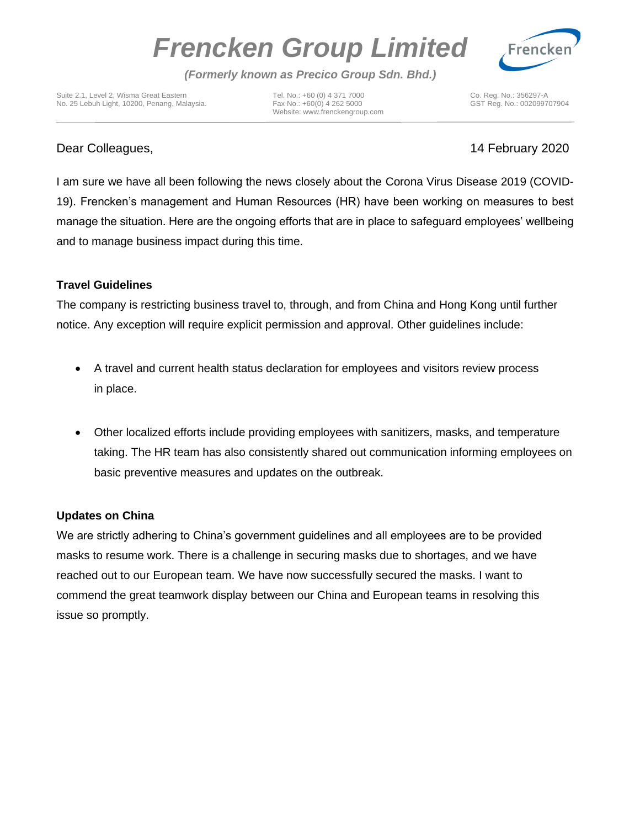# *Frencken Group Limited*



*(Formerly known as Precico Group Sdn. Bhd.)*

Suite 2.1, Level 2, Wisma Great Eastern Tel. No.: +60 (0) 4 371 7000 Co. Reg. No.: 356297-A No. 25 Lebuh Light, 10200, Penang, Malaysia. Fax No.: +60(0) 4 262 5000 GST Reg. No.: 002099707904

Website[: www.frenckengroup.com](http://www.frenckengroup.com/)

## Dear Colleagues, 14 February 2020

I am sure we have all been following the news closely about the Corona Virus Disease 2019 (COVID-19). Frencken's management and Human Resources (HR) have been working on measures to best manage the situation. Here are the ongoing efforts that are in place to safeguard employees' wellbeing and to manage business impact during this time.

### **Travel Guidelines**

The company is restricting business travel to, through, and from China and Hong Kong until further notice. Any exception will require explicit permission and approval. Other guidelines include:

- A travel and current health status declaration for employees and visitors review process in place.
- Other localized efforts include providing employees with sanitizers, masks, and temperature taking. The HR team has also consistently shared out communication informing employees on basic preventive measures and updates on the outbreak.

### **Updates on China**

We are strictly adhering to China's government guidelines and all employees are to be provided masks to resume work. There is a challenge in securing masks due to shortages, and we have reached out to our European team. We have now successfully secured the masks. I want to commend the great teamwork display between our China and European teams in resolving this issue so promptly.